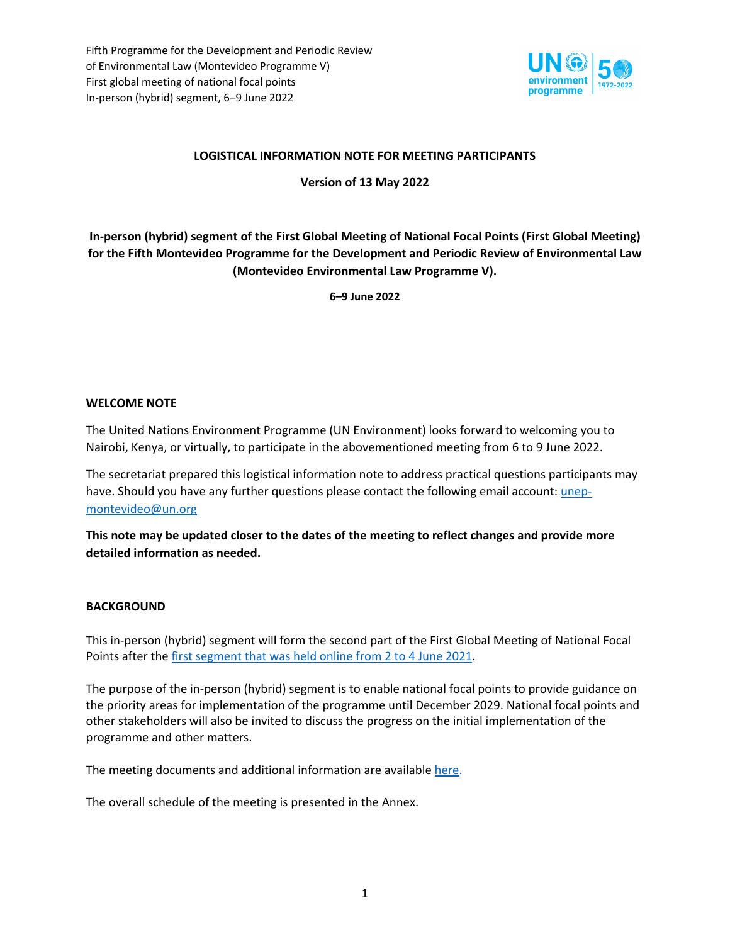

# **LOGISTICAL INFORMATION NOTE FOR MEETING PARTICIPANTS**

**Version of 13 May 2022**

**In-person (hybrid) segment of the First Global Meeting of National Focal Points (First Global Meeting) for the Fifth Montevideo Programme for the Development and Periodic Review of Environmental Law (Montevideo Environmental Law Programme V).**

**6–9 June 2022**

### **WELCOME NOTE**

The United Nations Environment Programme (UN Environment) looks forward to welcoming you to Nairobi, Kenya, or virtually, to participate in the abovementioned meeting from 6 to 9 June 2022.

The secretariat prepared this logistical information note to address practical questions participants may have. Should you have any further questions please contact the following email account: unepmontevideo@un.org

**This note may be updated closer to the dates of the meeting to reflect changes and provide more detailed information as needed.**

### **BACKGROUND**

This in-person (hybrid) segment will form the second part of the First Global Meeting of National Focal Points after the first segment that was held online from 2 to 4 June 2021.

The purpose of the in-person (hybrid) segment is to enable national focal points to provide guidance on the priority areas for implementation of the programme until December 2029. National focal points and other stakeholders will also be invited to discuss the progress on the initial implementation of the programme and other matters.

The meeting documents and additional information are available here.

The overall schedule of the meeting is presented in the Annex.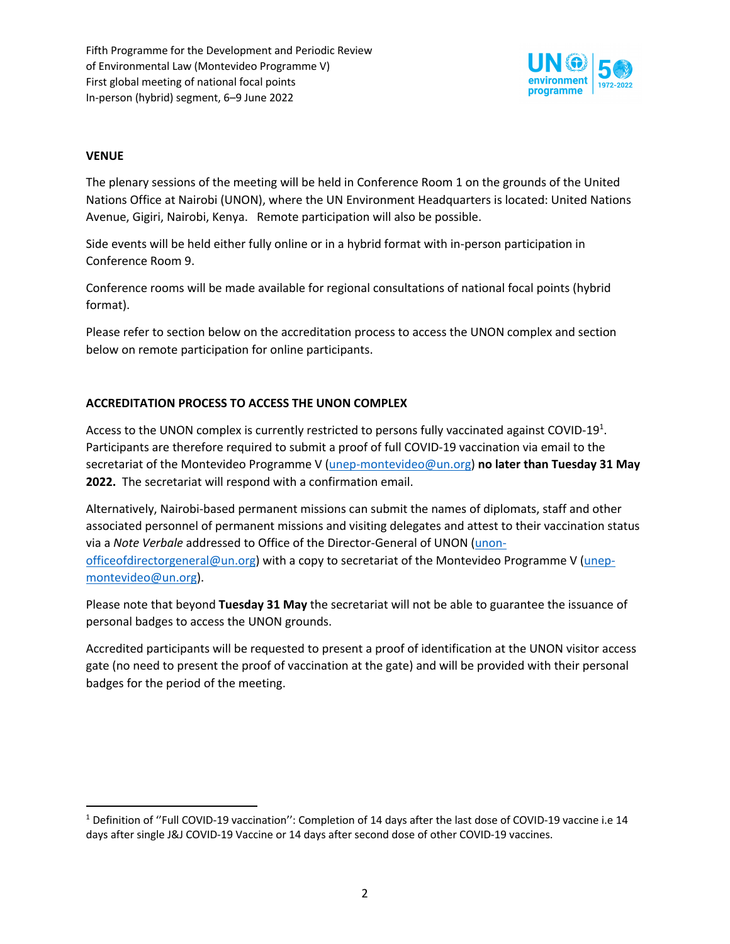

# **VENUE**

The plenary sessions of the meeting will be held in Conference Room 1 on the grounds of the United Nations Office at Nairobi (UNON), where the UN Environment Headquarters is located: United Nations Avenue, Gigiri, Nairobi, Kenya. Remote participation will also be possible.

Side events will be held either fully online or in a hybrid format with in-person participation in Conference Room 9.

Conference rooms will be made available for regional consultations of national focal points (hybrid format).

Please refer to section below on the accreditation process to access the UNON complex and section below on remote participation for online participants.

# **ACCREDITATION PROCESS TO ACCESS THE UNON COMPLEX**

Access to the UNON complex is currently restricted to persons fully vaccinated against COVID-19<sup>1</sup>. Participants are therefore required to submit a proof of full COVID-19 vaccination via email to the secretariat of the Montevideo Programme V (unep-montevideo@un.org) **no later than Tuesday 31 May 2022.** The secretariat will respond with a confirmation email.

Alternatively, Nairobi-based permanent missions can submit the names of diplomats, staff and other associated personnel of permanent missions and visiting delegates and attest to their vaccination status via a *Note Verbale* addressed to Office of the Director-General of UNON (unonofficeofdirectorgeneral@un.org) with a copy to secretariat of the Montevideo Programme V (unepmontevideo@un.org).

Please note that beyond **Tuesday 31 May** the secretariat will not be able to guarantee the issuance of personal badges to access the UNON grounds.

Accredited participants will be requested to present a proof of identification at the UNON visitor access gate (no need to present the proof of vaccination at the gate) and will be provided with their personal badges for the period of the meeting.

<sup>1</sup> Definition of ''Full COVID-19 vaccination'': Completion of 14 days after the last dose of COVID-19 vaccine i.e 14 days after single J&J COVID-19 Vaccine or 14 days after second dose of other COVID-19 vaccines.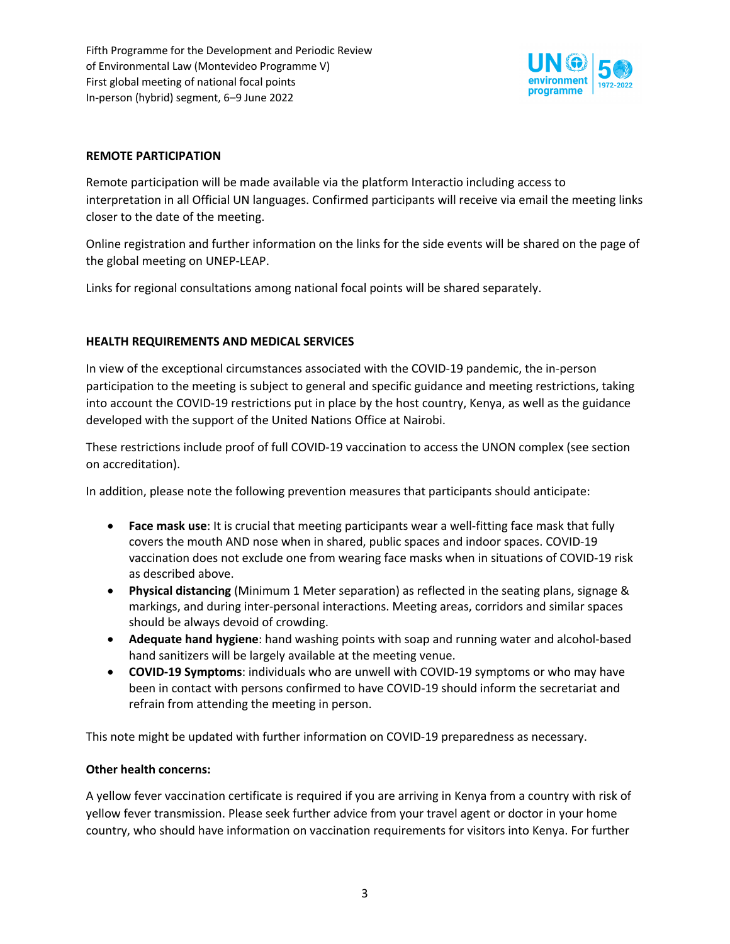

### **REMOTE PARTICIPATION**

Remote participation will be made available via the platform Interactio including access to interpretation in all Official UN languages. Confirmed participants will receive via email the meeting links closer to the date of the meeting.

Online registration and further information on the links for the side events will be shared on the page of the global meeting on UNEP-LEAP.

Links for regional consultations among national focal points will be shared separately.

# **HEALTH REQUIREMENTS AND MEDICAL SERVICES**

In view of the exceptional circumstances associated with the COVID-19 pandemic, the in-person participation to the meeting is subject to general and specific guidance and meeting restrictions, taking into account the COVID-19 restrictions put in place by the host country, Kenya, as well as the guidance developed with the support of the United Nations Office at Nairobi.

These restrictions include proof of full COVID-19 vaccination to access the UNON complex (see section on accreditation).

In addition, please note the following prevention measures that participants should anticipate:

- **Face mask use**: It is crucial that meeting participants wear a well-fitting face mask that fully covers the mouth AND nose when in shared, public spaces and indoor spaces. COVID-19 vaccination does not exclude one from wearing face masks when in situations of COVID-19 risk as described above.
- **Physical distancing** (Minimum 1 Meter separation) as reflected in the seating plans, signage & markings, and during inter-personal interactions. Meeting areas, corridors and similar spaces should be always devoid of crowding.
- **Adequate hand hygiene**: hand washing points with soap and running water and alcohol-based hand sanitizers will be largely available at the meeting venue.
- **COVID-19 Symptoms**: individuals who are unwell with COVID-19 symptoms or who may have been in contact with persons confirmed to have COVID-19 should inform the secretariat and refrain from attending the meeting in person.

This note might be updated with further information on COVID-19 preparedness as necessary.

### **Other health concerns:**

A yellow fever vaccination certificate is required if you are arriving in Kenya from a country with risk of yellow fever transmission. Please seek further advice from your travel agent or doctor in your home country, who should have information on vaccination requirements for visitors into Kenya. For further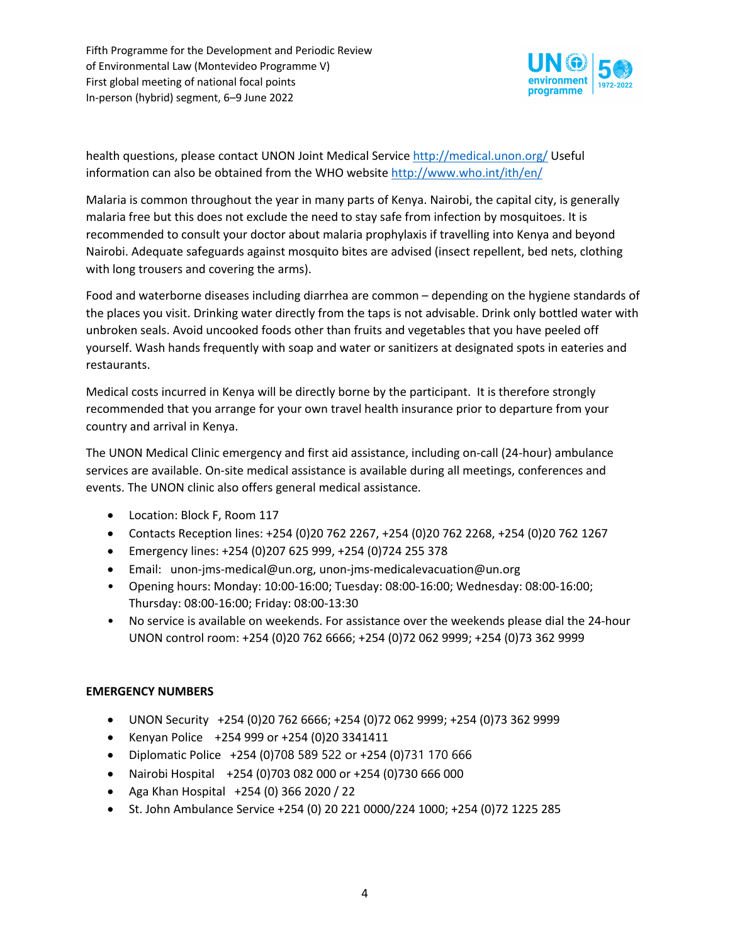

health questions, please contact UNON Joint Medical Service http://medical.unon.org/ Useful information can also be obtained from the WHO website http://www.who.int/ith/en/

Malaria is common throughout the year in many parts of Kenya. Nairobi, the capital city, is generally malaria free but this does not exclude the need to stay safe from infection by mosquitoes. It is recommended to consult your doctor about malaria prophylaxis if travelling into Kenya and beyond Nairobi. Adequate safeguards against mosquito bites are advised (insect repellent, bed nets, clothing with long trousers and covering the arms).

Food and waterborne diseases including diarrhea are common – depending on the hygiene standards of the places you visit. Drinking water directly from the taps is not advisable. Drink only bottled water with unbroken seals. Avoid uncooked foods other than fruits and vegetables that you have peeled off yourself. Wash hands frequently with soap and water or sanitizers at designated spots in eateries and restaurants.

Medical costs incurred in Kenya will be directly borne by the participant. It is therefore strongly recommended that you arrange for your own travel health insurance prior to departure from your country and arrival in Kenya.

The UNON Medical Clinic emergency and first aid assistance, including on-call (24-hour) ambulance services are available. On-site medical assistance is available during all meetings, conferences and events. The UNON clinic also offers general medical assistance.

- Location: Block F, Room 117
- Contacts Reception lines: +254 (0)20 762 2267, +254 (0)20 762 2268, +254 (0)20 762 1267
- Emergency lines: +254 (0)207 625 999, +254 (0)724 255 378
- Email: unon-jms-medical@un.org, unon-jms-medicalevacuation@un.org
- Opening hours: Monday: 10:00-16:00; Tuesday: 08:00-16:00; Wednesday: 08:00-16:00; Thursday: 08:00-16:00; Friday: 08:00-13:30
- No service is available on weekends. For assistance over the weekends please dial the 24-hour UNON control room: +254 (0)20 762 6666; +254 (0)72 062 9999; +254 (0)73 362 9999

# **EMERGENCY NUMBERS**

- UNON Security +254 (0)20 762 6666; +254 (0)72 062 9999; +254 (0)73 362 9999
- Kenyan Police +254 999 or +254 (0)20 3341411
- Diplomatic Police +254 (0)708 589 522 or +254 (0)731 170 666
- Nairobi Hospital +254 (0)703 082 000 or +254 (0)730 666 000
- Aga Khan Hospital +254 (0) 366 2020 / 22
- St. John Ambulance Service +254 (0) 20 221 0000/224 1000; +254 (0)72 1225 285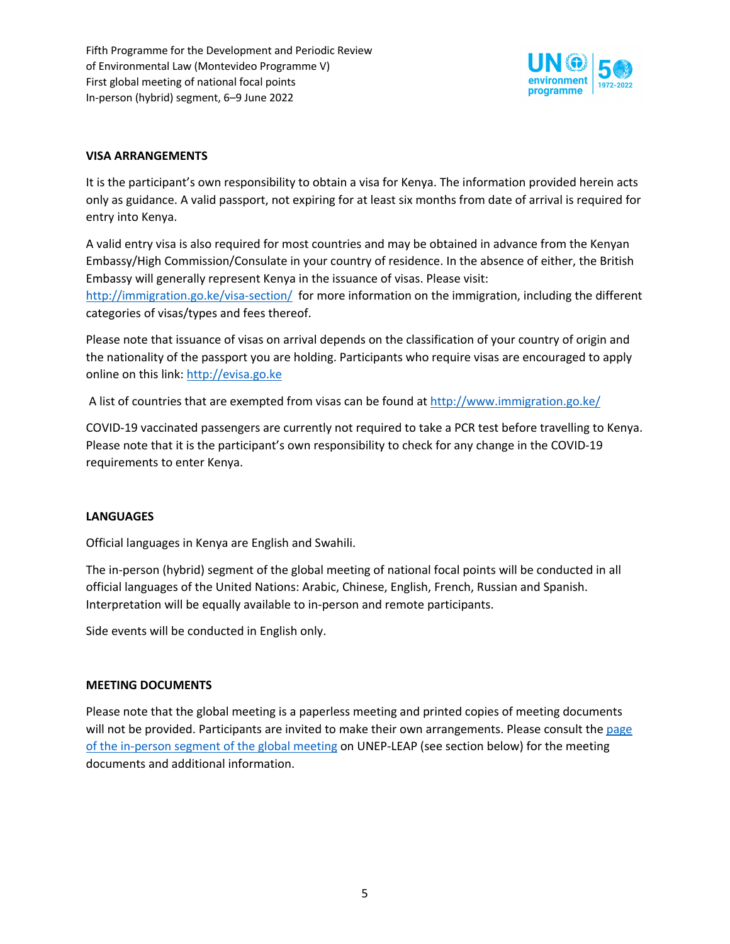

# **VISA ARRANGEMENTS**

It is the participant's own responsibility to obtain a visa for Kenya. The information provided herein acts only as guidance. A valid passport, not expiring for at least six months from date of arrival is required for entry into Kenya.

A valid entry visa is also required for most countries and may be obtained in advance from the Kenyan Embassy/High Commission/Consulate in your country of residence. In the absence of either, the British Embassy will generally represent Kenya in the issuance of visas. Please visit: http://immigration.go.ke/visa-section/ for more information on the immigration, including the different categories of visas/types and fees thereof.

Please note that issuance of visas on arrival depends on the classification of your country of origin and the nationality of the passport you are holding. Participants who require visas are encouraged to apply online on this link: http://evisa.go.ke

A list of countries that are exempted from visas can be found at http://www.immigration.go.ke/

COVID-19 vaccinated passengers are currently not required to take a PCR test before travelling to Kenya. Please note that it is the participant's own responsibility to check for any change in the COVID-19 requirements to enter Kenya.

### **LANGUAGES**

Official languages in Kenya are English and Swahili.

The in-person (hybrid) segment of the global meeting of national focal points will be conducted in all official languages of the United Nations: Arabic, Chinese, English, French, Russian and Spanish. Interpretation will be equally available to in-person and remote participants.

Side events will be conducted in English only.

#### **MEETING DOCUMENTS**

Please note that the global meeting is a paperless meeting and printed copies of meeting documents will not be provided. Participants are invited to make their own arrangements. Please consult the page of the in-person segment of the global meeting on UNEP-LEAP (see section below) for the meeting documents and additional information.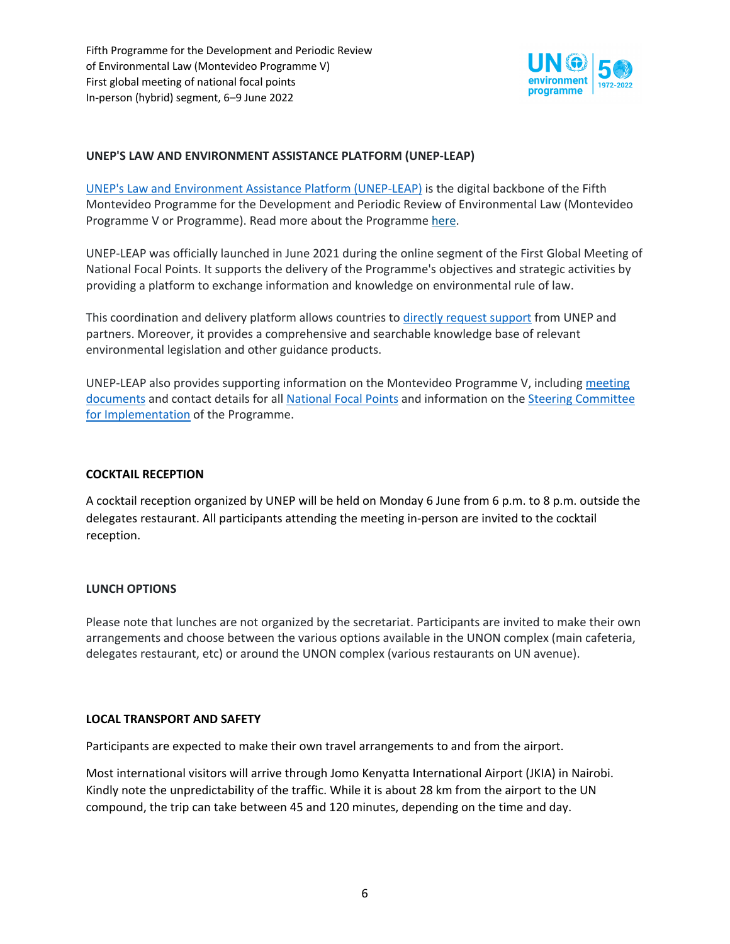

# **UNEP'S LAW AND ENVIRONMENT ASSISTANCE PLATFORM (UNEP-LEAP)**

UNEP's Law and Environment Assistance Platform (UNEP-LEAP) is the digital backbone of the Fifth Montevideo Programme for the Development and Periodic Review of Environmental Law (Montevideo Programme V or Programme). Read more about the Programme here.

UNEP-LEAP was officially launched in June 2021 during the online segment of the First Global Meeting of National Focal Points. It supports the delivery of the Programme's objectives and strategic activities by providing a platform to exchange information and knowledge on environmental rule of law.

This coordination and delivery platform allows countries to directly request support from UNEP and partners. Moreover, it provides a comprehensive and searchable knowledge base of relevant environmental legislation and other guidance products.

UNEP-LEAP also provides supporting information on the Montevideo Programme V, including meeting documents and contact details for all National Focal Points and information on the Steering Committee for Implementation of the Programme.

### **COCKTAIL RECEPTION**

A cocktail reception organized by UNEP will be held on Monday 6 June from 6 p.m. to 8 p.m. outside the delegates restaurant. All participants attending the meeting in-person are invited to the cocktail reception.

### **LUNCH OPTIONS**

Please note that lunches are not organized by the secretariat. Participants are invited to make their own arrangements and choose between the various options available in the UNON complex (main cafeteria, delegates restaurant, etc) or around the UNON complex (various restaurants on UN avenue).

#### **LOCAL TRANSPORT AND SAFETY**

Participants are expected to make their own travel arrangements to and from the airport.

Most international visitors will arrive through Jomo Kenyatta International Airport (JKIA) in Nairobi. Kindly note the unpredictability of the traffic. While it is about 28 km from the airport to the UN compound, the trip can take between 45 and 120 minutes, depending on the time and day.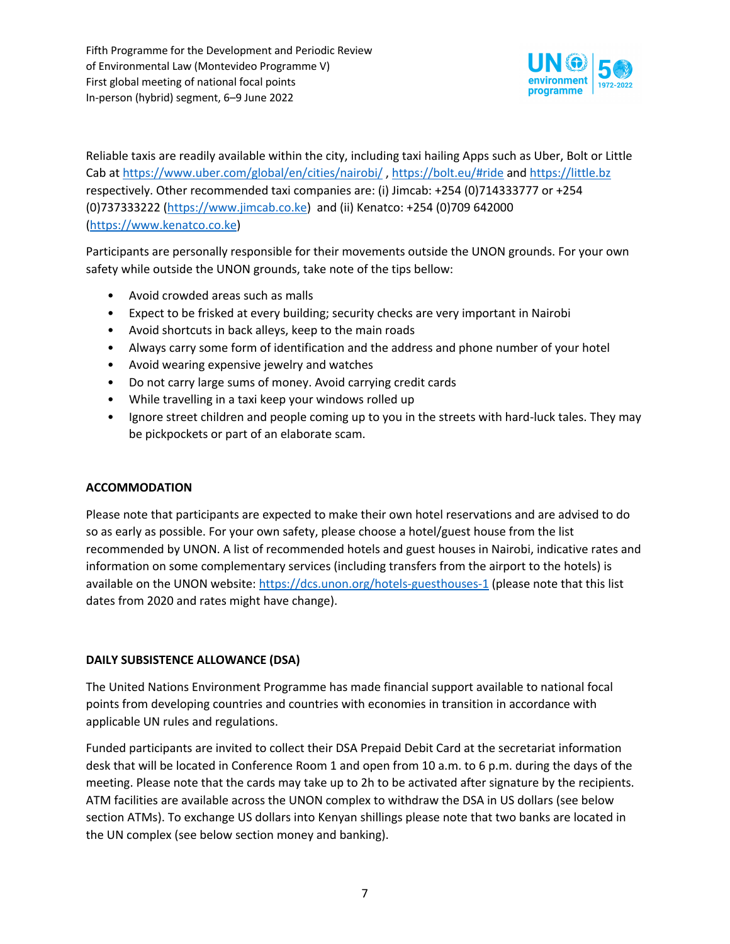

Reliable taxis are readily available within the city, including taxi hailing Apps such as Uber, Bolt or Little Cab at https://www.uber.com/global/en/cities/nairobi/ , https://bolt.eu/#ride and https://little.bz respectively. Other recommended taxi companies are: (i) Jimcab: +254 (0)714333777 or +254 (0)737333222 (https://www.jimcab.co.ke) and (ii) Kenatco: +254 (0)709 642000 (https://www.kenatco.co.ke)

Participants are personally responsible for their movements outside the UNON grounds. For your own safety while outside the UNON grounds, take note of the tips bellow:

- Avoid crowded areas such as malls
- Expect to be frisked at every building; security checks are very important in Nairobi
- Avoid shortcuts in back alleys, keep to the main roads
- Always carry some form of identification and the address and phone number of your hotel
- Avoid wearing expensive jewelry and watches
- Do not carry large sums of money. Avoid carrying credit cards
- While travelling in a taxi keep your windows rolled up
- Ignore street children and people coming up to you in the streets with hard-luck tales. They may be pickpockets or part of an elaborate scam.

### **ACCOMMODATION**

Please note that participants are expected to make their own hotel reservations and are advised to do so as early as possible. For your own safety, please choose a hotel/guest house from the list recommended by UNON. A list of recommended hotels and guest houses in Nairobi, indicative rates and information on some complementary services (including transfers from the airport to the hotels) is available on the UNON website: https://dcs.unon.org/hotels-guesthouses-1 (please note that this list dates from 2020 and rates might have change).

#### **DAILY SUBSISTENCE ALLOWANCE (DSA)**

The United Nations Environment Programme has made financial support available to national focal points from developing countries and countries with economies in transition in accordance with applicable UN rules and regulations.

Funded participants are invited to collect their DSA Prepaid Debit Card at the secretariat information desk that will be located in Conference Room 1 and open from 10 a.m. to 6 p.m. during the days of the meeting. Please note that the cards may take up to 2h to be activated after signature by the recipients. ATM facilities are available across the UNON complex to withdraw the DSA in US dollars (see below section ATMs). To exchange US dollars into Kenyan shillings please note that two banks are located in the UN complex (see below section money and banking).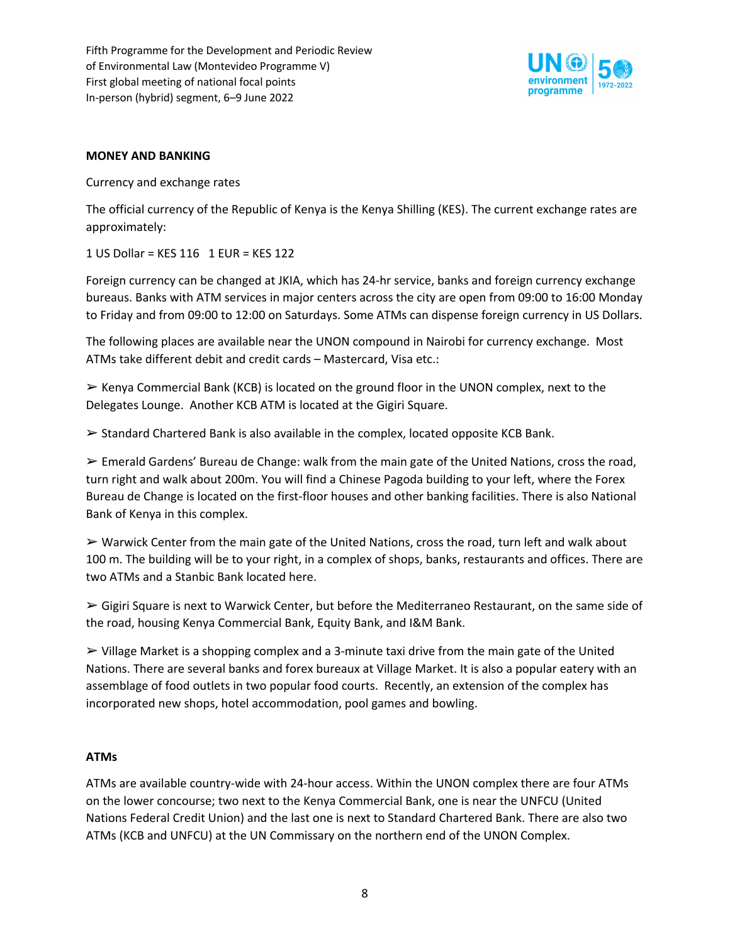

#### **MONEY AND BANKING**

Currency and exchange rates

The official currency of the Republic of Kenya is the Kenya Shilling (KES). The current exchange rates are approximately:

1 US Dollar = KES 116 1 EUR = KES 122

Foreign currency can be changed at JKIA, which has 24-hr service, banks and foreign currency exchange bureaus. Banks with ATM services in major centers across the city are open from 09:00 to 16:00 Monday to Friday and from 09:00 to 12:00 on Saturdays. Some ATMs can dispense foreign currency in US Dollars.

The following places are available near the UNON compound in Nairobi for currency exchange. Most ATMs take different debit and credit cards – Mastercard, Visa etc.:

 $\triangleright$  Kenya Commercial Bank (KCB) is located on the ground floor in the UNON complex, next to the Delegates Lounge. Another KCB ATM is located at the Gigiri Square.

 $\triangleright$  Standard Chartered Bank is also available in the complex, located opposite KCB Bank.

 $\triangleright$  Emerald Gardens' Bureau de Change: walk from the main gate of the United Nations, cross the road, turn right and walk about 200m. You will find a Chinese Pagoda building to your left, where the Forex Bureau de Change is located on the first-floor houses and other banking facilities. There is also National Bank of Kenya in this complex.

 $\triangleright$  Warwick Center from the main gate of the United Nations, cross the road, turn left and walk about 100 m. The building will be to your right, in a complex of shops, banks, restaurants and offices. There are two ATMs and a Stanbic Bank located here.

 $\geq$  Gigiri Square is next to Warwick Center, but before the Mediterraneo Restaurant, on the same side of the road, housing Kenya Commercial Bank, Equity Bank, and I&M Bank.

 $\triangleright$  Village Market is a shopping complex and a 3-minute taxi drive from the main gate of the United Nations. There are several banks and forex bureaux at Village Market. It is also a popular eatery with an assemblage of food outlets in two popular food courts. Recently, an extension of the complex has incorporated new shops, hotel accommodation, pool games and bowling.

### **ATMs**

ATMs are available country-wide with 24-hour access. Within the UNON complex there are four ATMs on the lower concourse; two next to the Kenya Commercial Bank, one is near the UNFCU (United Nations Federal Credit Union) and the last one is next to Standard Chartered Bank. There are also two ATMs (KCB and UNFCU) at the UN Commissary on the northern end of the UNON Complex.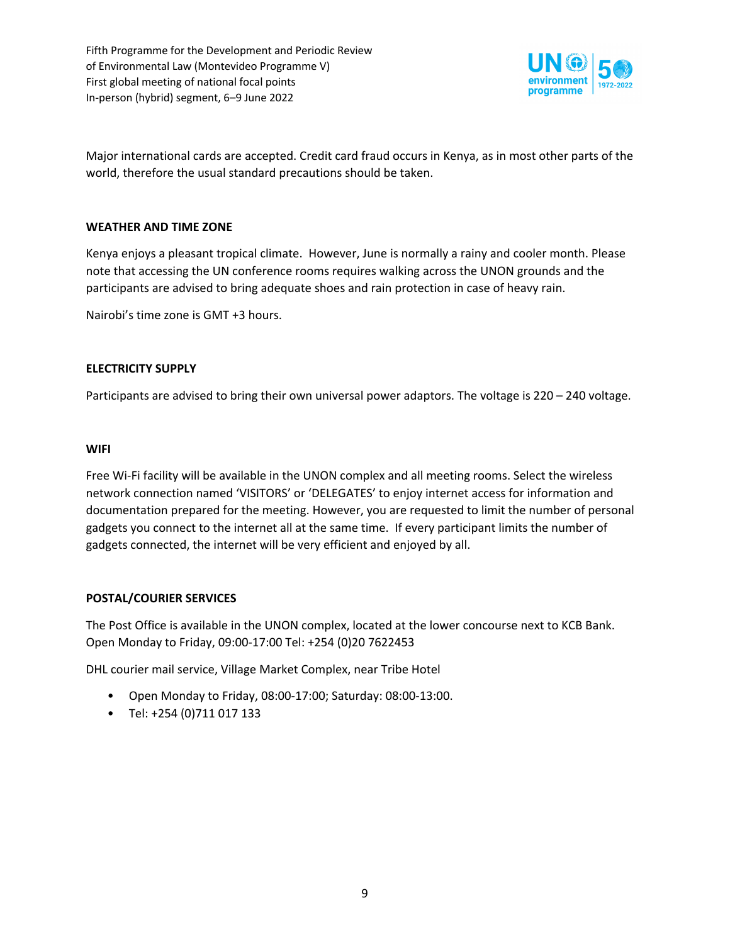

Major international cards are accepted. Credit card fraud occurs in Kenya, as in most other parts of the world, therefore the usual standard precautions should be taken.

#### **WEATHER AND TIME ZONE**

Kenya enjoys a pleasant tropical climate. However, June is normally a rainy and cooler month. Please note that accessing the UN conference rooms requires walking across the UNON grounds and the participants are advised to bring adequate shoes and rain protection in case of heavy rain.

Nairobi's time zone is GMT +3 hours.

#### **ELECTRICITY SUPPLY**

Participants are advised to bring their own universal power adaptors. The voltage is 220 – 240 voltage.

#### **WIFI**

Free Wi-Fi facility will be available in the UNON complex and all meeting rooms. Select the wireless network connection named 'VISITORS' or 'DELEGATES' to enjoy internet access for information and documentation prepared for the meeting. However, you are requested to limit the number of personal gadgets you connect to the internet all at the same time. If every participant limits the number of gadgets connected, the internet will be very efficient and enjoyed by all.

### **POSTAL/COURIER SERVICES**

The Post Office is available in the UNON complex, located at the lower concourse next to KCB Bank. Open Monday to Friday, 09:00-17:00 Tel: +254 (0)20 7622453

DHL courier mail service, Village Market Complex, near Tribe Hotel

- Open Monday to Friday, 08:00-17:00; Saturday: 08:00-13:00.
- Tel: +254 (0)711 017 133